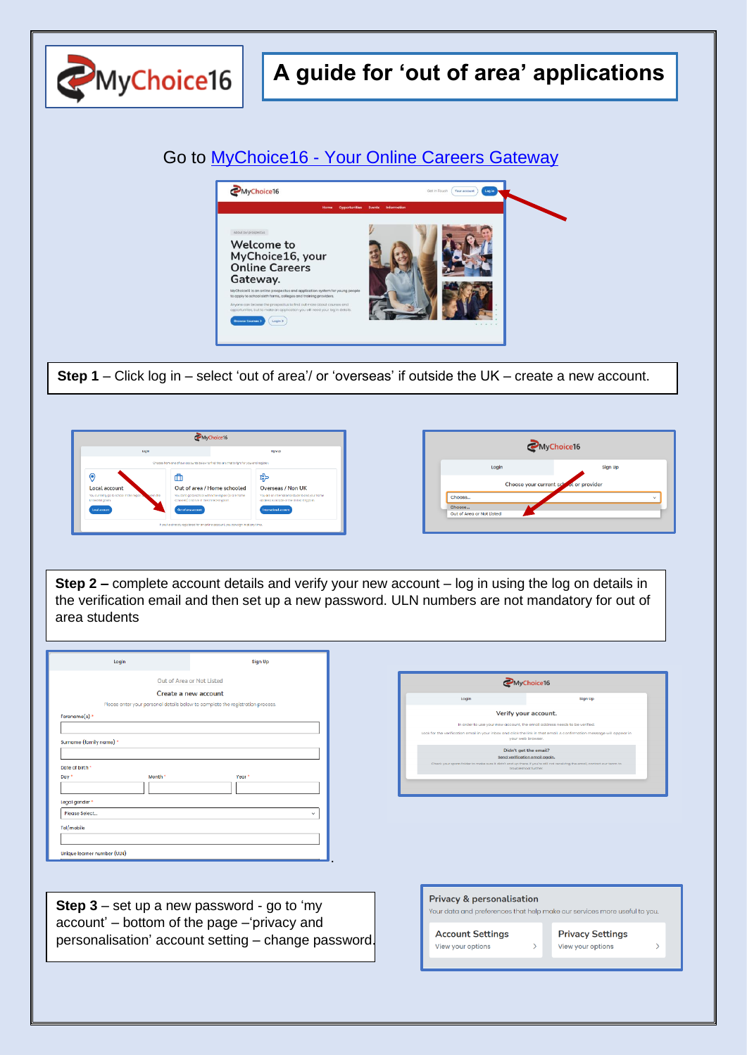

## **A guide for 'out of area' applications**





**Step 1** – Click log in – select 'out of area'/ or 'overseas' if outside the UK – create a new account.





**Step 2 –** complete account details and verify your new account – log in using the log on details in the verification email and then set up a new password. ULN numbers are not mandatory for out of area students

| Login                    |         | Sign Up                                                                        |
|--------------------------|---------|--------------------------------------------------------------------------------|
|                          |         | Out of Area or Not Listed                                                      |
|                          |         | Create a new account                                                           |
|                          |         | Please enter your personal details below to complete the registration process. |
| Forename(s) *            |         |                                                                                |
|                          |         |                                                                                |
|                          |         |                                                                                |
| Surname (family name) *  |         |                                                                                |
|                          |         |                                                                                |
|                          |         |                                                                                |
| Date of birth *<br>Day * | Month * | Year <sup>*</sup>                                                              |
|                          |         |                                                                                |
|                          |         |                                                                                |
| Legal gender *           |         |                                                                                |
| Please Select            |         | $\checkmark$                                                                   |
| Tel/mobile               |         |                                                                                |
|                          |         |                                                                                |

MyChoice16 Verify your account. our inbox and click the link in that email. A c Didn't get the email?

**Step 3** – set up a new password - go to 'my account' – bottom of the page –'privacy and personalisation' account setting – change password.

| <b>Privacy &amp; personalisation</b><br>Your data and preferences that help make our services more useful to you. |                                              |  |
|-------------------------------------------------------------------------------------------------------------------|----------------------------------------------|--|
| <b>Account Settings</b><br>View your options                                                                      | <b>Privacy Settings</b><br>View your options |  |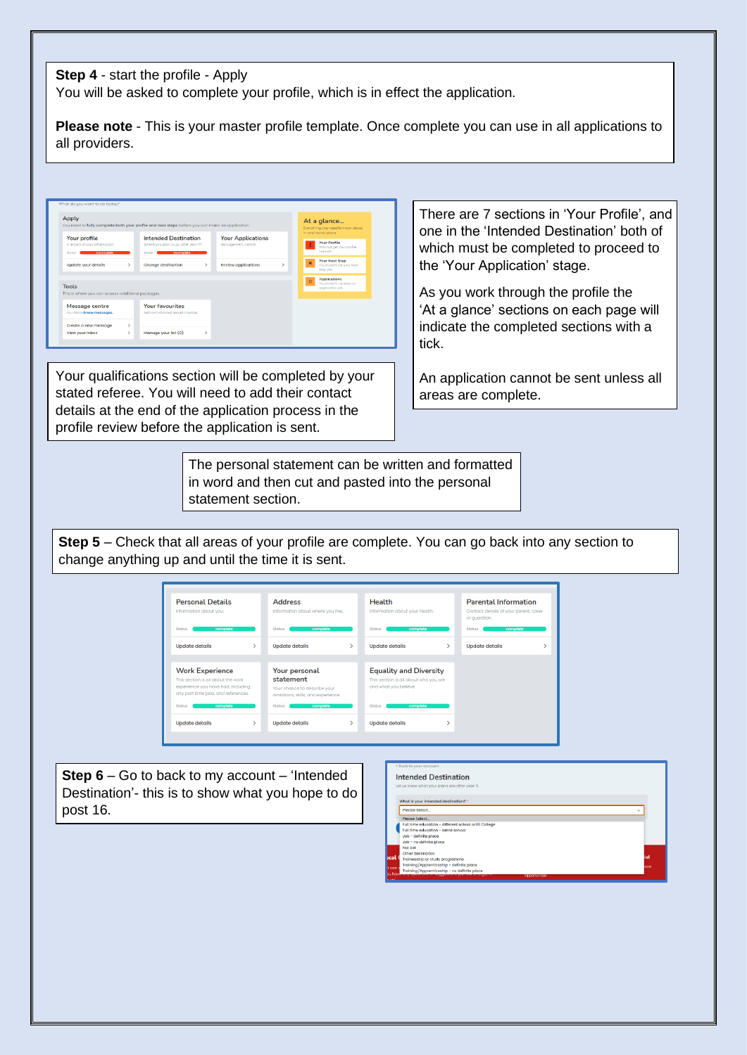## **Step 4** - start the profile - Apply

You will be asked to complete your profile, which is in effect the application.

**Please note** - This is your master profile template. Once complete you can use in all applications to all providers.

|                                                                        |   |                                                                                              |                                                |    |          | Everything you need to know about<br>In one handy place.          |
|------------------------------------------------------------------------|---|----------------------------------------------------------------------------------------------|------------------------------------------------|----|----------|-------------------------------------------------------------------|
| Your profile<br>A record of your information.<br>incorrelate<br>Stotus |   | <b>Intended Destination</b><br>Where you plan to go after year 11?<br>incorrelate<br>Shribum | <b>Your Applications</b><br>Management centre. |    | ı        | Your Profile<br>Why not get your profile<br>stortarD              |
| Update your details                                                    | v | Change destination<br>v                                                                      | <b>Review applications</b>                     | \, | ×        | <b>Your Next Step</b><br>You haven't set your Next<br>Step yet.   |
| <b>Tools</b><br>This is where you can access additional packages.      |   |                                                                                              |                                                |    | $\Omega$ | <b>Applications</b><br>You beweek executed on<br>application yet. |
| <b>Message centre</b><br>You have 0 new messages.                      |   | <b>Your favourites</b><br>Add and remove saved courses.                                      |                                                |    |          |                                                                   |

Your qualifications section will be completed by your stated referee. You will need to add their contact details at the end of the application process in the profile review before the application is sent.

There are 7 sections in 'Your Profile', and one in the 'Intended Destination' both of which must be completed to proceed to the 'Your Application' stage.

As you work through the profile the 'At a glance' sections on each page will indicate the completed sections with a tick.

An application cannot be sent unless all areas are complete.

The personal statement can be written and formatted in word and then cut and pasted into the personal statement section.

**Step 5** – Check that all areas of your profile are complete. You can go back into any section to change anything up and until the time it is sent.

| <b>Personal Details</b><br>Information about you.                                                                                          | <b>Address</b><br>Information about where you live,                                              | <b>Health</b><br>Information about your health.                                                 | <b>Parental Information</b><br>Contact details of your parent, carer<br>or quardian. |
|--------------------------------------------------------------------------------------------------------------------------------------------|--------------------------------------------------------------------------------------------------|-------------------------------------------------------------------------------------------------|--------------------------------------------------------------------------------------|
| complete<br><b>Status</b>                                                                                                                  | complete<br><b>Status</b>                                                                        | <b>Status</b><br>complete                                                                       | complete<br><b>Status</b>                                                            |
| <b>Update details</b>                                                                                                                      | <b>Update details</b><br>Y.                                                                      | ⋟<br><b>Update details</b>                                                                      | <b>Update details</b>                                                                |
|                                                                                                                                            |                                                                                                  |                                                                                                 |                                                                                      |
| <b>Work Experience</b><br>This section is all about the work.<br>experience you have had, including<br>any part time jobs, and references. | Your personal<br>statement<br>Your chance to describe your<br>ambitions, skills, and experience. | <b>Equality and Diversity</b><br>This section is all about who you are<br>and what you believe. |                                                                                      |
| <b>Status</b><br>complete                                                                                                                  | <b>Status</b><br>complete                                                                        | <b>Status</b><br>complete                                                                       |                                                                                      |
|                                                                                                                                            |                                                                                                  |                                                                                                 |                                                                                      |

**Step 6** – Go to back to my account – 'Intended Destination'- this is to show what you hope to do post 16.

|            | <b>Intended Destination</b>                          |      |
|------------|------------------------------------------------------|------|
|            | Let us know what your plans are after year 11.       |      |
|            |                                                      |      |
|            | What is your intended destination? *                 |      |
|            | Please Select<br>$\sim$                              |      |
|            | Please Select                                        |      |
|            | Full time education - different school or FE College |      |
|            | Full time education - same school                    |      |
|            | Job - definite place                                 |      |
|            | Job - no definite place                              |      |
|            | Not Set                                              |      |
|            | Other destination                                    |      |
| <b>cal</b> | Traineeship or study programme                       | ial  |
|            | Training/Apprenticeship - definite place             | back |
| lt can s   | Training/Apprenticeship - no definite place          |      |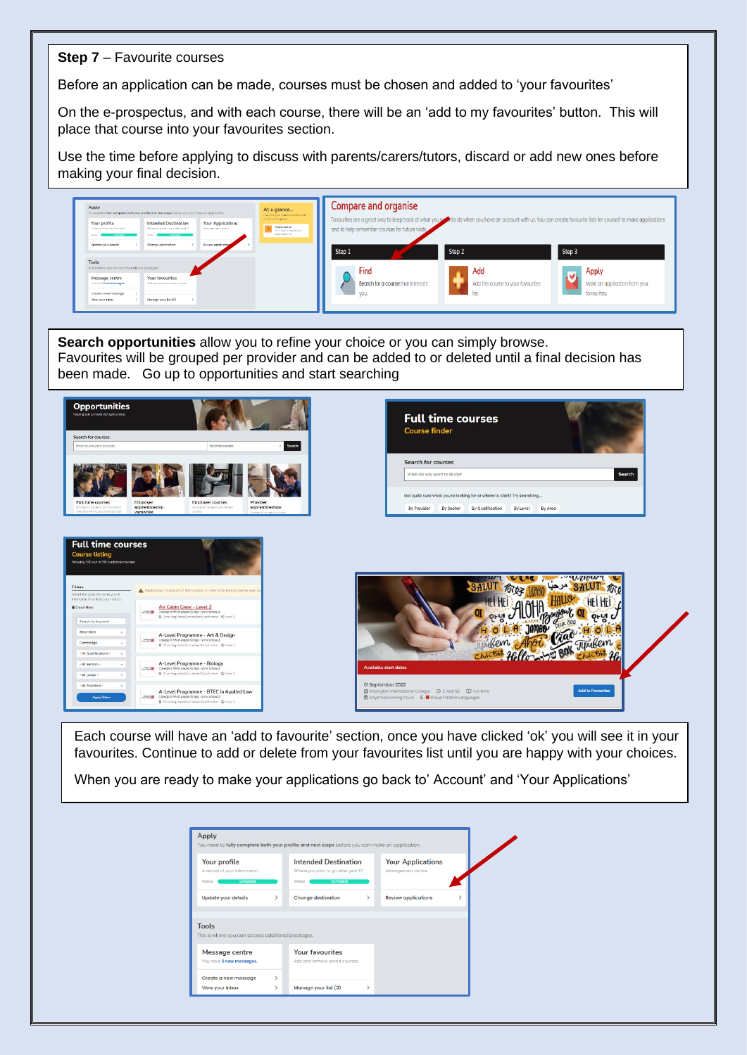## **Step 7** – Favourite courses

Before an application can be made, courses must be chosen and added to 'your favourites'

On the e-prospectus, and with each course, there will be an 'add to my favourites' button. This will place that course into your favourites section.

Use the time before applying to discuss with parents/carers/tutors, discard or add new ones before making your final decision.



**Search opportunities** allow you to refine your choice or you can simply browse. Favourites will be grouped per provider and can be added to or deleted until a final decision has been made. Go up to opportunities and start searching



Each course will have an 'add to favourite' section, once you have clicked 'ok' you will see it in your favourites. Continue to add or delete from your favourites list until you are happy with your choices.

When you are ready to make your applications go back to' Account' and 'Your Applications'

| Your profile                                                                                                    |               | <b>Intended Destination</b>         |               | <b>Your Applications</b>   |  |
|-----------------------------------------------------------------------------------------------------------------|---------------|-------------------------------------|---------------|----------------------------|--|
| A record of your information.                                                                                   |               | Where you plan to go after year 11? |               | Management centre.         |  |
| <b>Status</b><br>complete                                                                                       |               | complete<br><b>Status</b>           |               |                            |  |
| Update your details                                                                                             | $\mathcal{P}$ | <b>Change destination</b>           | $\mathcal{P}$ | <b>Review applications</b> |  |
|                                                                                                                 |               |                                     |               |                            |  |
|                                                                                                                 |               |                                     |               |                            |  |
|                                                                                                                 |               |                                     |               |                            |  |
|                                                                                                                 |               |                                     |               |                            |  |
|                                                                                                                 |               | <b>Your favourites</b>              |               |                            |  |
| <b>Tools</b><br>This is where you can access additional packages.<br>Message centre<br>You have 0 new messages. |               | Add and remove saved courses.       |               |                            |  |
| Create a new message                                                                                            | >             |                                     |               |                            |  |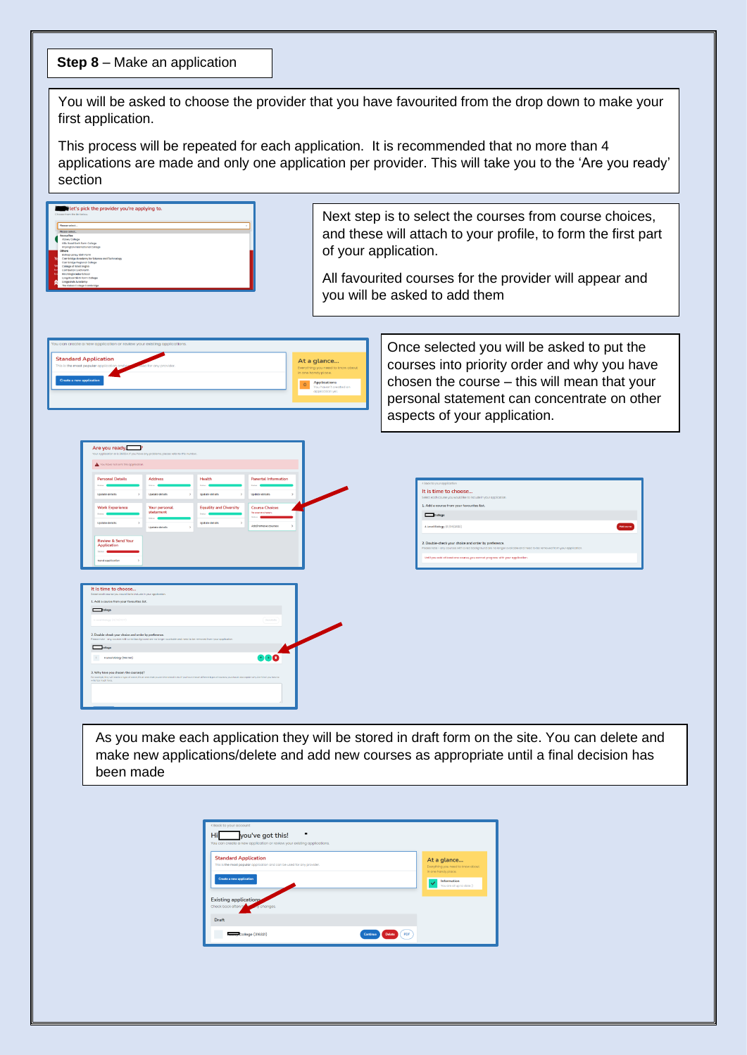## **Step 8** – Make an application

You will be asked to choose the provider that you have favourited from the drop down to make your first application.

This process will be repeated for each application. It is recommended that no more than 4 applications are made and only one application per provider. This will take you to the 'Are you ready' section



Next step is to select the courses from course choices, and these will attach to your profile, to form the first part of your application.

All favourited courses for the provider will appear and you will be asked to add them



Once selected you will be asked to put the courses into priority order and why you have chosen the course – this will mean that your personal statement can concentrate on other aspects of your application.

| <b>Personal Details</b>                                                                                                                                                                    | <b>Address</b>                                                                                                         | Health                                 | <b>Parental Information</b>   |              |
|--------------------------------------------------------------------------------------------------------------------------------------------------------------------------------------------|------------------------------------------------------------------------------------------------------------------------|----------------------------------------|-------------------------------|--------------|
| <b>EXAM</b>                                                                                                                                                                                | <b>Stofan</b>                                                                                                          | Stotus                                 | tion                          |              |
| <b>Undate details</b><br>$\rightarrow$                                                                                                                                                     | Update details<br>$\rightarrow$                                                                                        | <b>Undobe details</b><br>$\rightarrow$ | <b>Update details</b>         | $\mathbf{r}$ |
| <b>Work Experience</b>                                                                                                                                                                     | Your personal                                                                                                          | <b>Equality and Diversity</b>          | <b>Course Choices</b>         |              |
| Electrical                                                                                                                                                                                 | statement<br>Status 1                                                                                                  | Stokes                                 | No course chosen.<br>Status 1 |              |
| Update details<br>$\rightarrow$                                                                                                                                                            | <b>Update details</b><br>b.                                                                                            | <b>Update details</b><br>$\rightarrow$ | Add/remove courses            | $\mathbf{v}$ |
|                                                                                                                                                                                            |                                                                                                                        |                                        |                               |              |
| <b>Review &amp; Send Your</b><br>Application                                                                                                                                               |                                                                                                                        |                                        |                               |              |
| Sister 8                                                                                                                                                                                   |                                                                                                                        |                                        |                               |              |
|                                                                                                                                                                                            |                                                                                                                        |                                        |                               |              |
|                                                                                                                                                                                            |                                                                                                                        |                                        |                               |              |
| Send application                                                                                                                                                                           |                                                                                                                        |                                        |                               |              |
|                                                                                                                                                                                            |                                                                                                                        |                                        |                               |              |
|                                                                                                                                                                                            |                                                                                                                        |                                        |                               |              |
|                                                                                                                                                                                            |                                                                                                                        |                                        |                               |              |
|                                                                                                                                                                                            |                                                                                                                        |                                        |                               |              |
|                                                                                                                                                                                            |                                                                                                                        |                                        |                               |              |
|                                                                                                                                                                                            |                                                                                                                        |                                        |                               |              |
| It is time to choose<br>Select each course you would like to include in your opptication.<br>1. Add a course from your favourites list.<br>$\Box$ Tollege<br>A Laveal Blokopy (01/09/2022) |                                                                                                                        |                                        | Univalidity                   |              |
|                                                                                                                                                                                            |                                                                                                                        |                                        |                               |              |
|                                                                                                                                                                                            |                                                                                                                        |                                        |                               |              |
|                                                                                                                                                                                            | Process note - any courses with a red background are no longer avoilable and need to be removed from your application. |                                        |                               |              |
| 2. Double-check your choice and order by preference.<br><b>Celluge</b>                                                                                                                     |                                                                                                                        |                                        |                               |              |
| A Level Blology (Not Set)<br>$\mathbf{1}$                                                                                                                                                  |                                                                                                                        |                                        | $\cdot \cdot \mathbf{0}$      |              |
| 3. Why have you chosen the course[s]?                                                                                                                                                      |                                                                                                                        |                                        |                               |              |

| « Back to your application                                                                                            |                   |
|-----------------------------------------------------------------------------------------------------------------------|-------------------|
| It is time to choose                                                                                                  |                   |
| Select each course you would like to include in your application.                                                     |                   |
| 1. Add a course from your favourites list.                                                                            |                   |
| College                                                                                                               |                   |
| A Level Blology (01/09/2022)                                                                                          | <b>Mid course</b> |
| 2. Double-check your choice and order by preference.                                                                  |                   |
| Please note - any courses with a red background are no longer ovaliable and need to be removed from your application. |                   |
| Until you add at least one course, you cannot progress with your application.                                         |                   |
|                                                                                                                       |                   |

As you make each application they will be stored in draft form on the site. You can delete and make new applications/delete and add new courses as appropriate until a final decision has been made

| « Back to your account<br>you've got this!<br>Hi<br>You can create a new application or review your existing applications.        |                                                                                                                    |
|-----------------------------------------------------------------------------------------------------------------------------------|--------------------------------------------------------------------------------------------------------------------|
| <b>Standard Application</b><br>This is the most popular application and can be used for any provider.<br>Create a new application | At a glance<br>Everything you need to know about<br>in one handy place.<br>Information<br>You are all up to date:) |
| <b>Existing applications</b><br>Check back often to<br>y changes.                                                                 |                                                                                                                    |
| Draft                                                                                                                             |                                                                                                                    |
| College (316321)<br>PDF<br>Continue<br><b>Delate</b>                                                                              |                                                                                                                    |